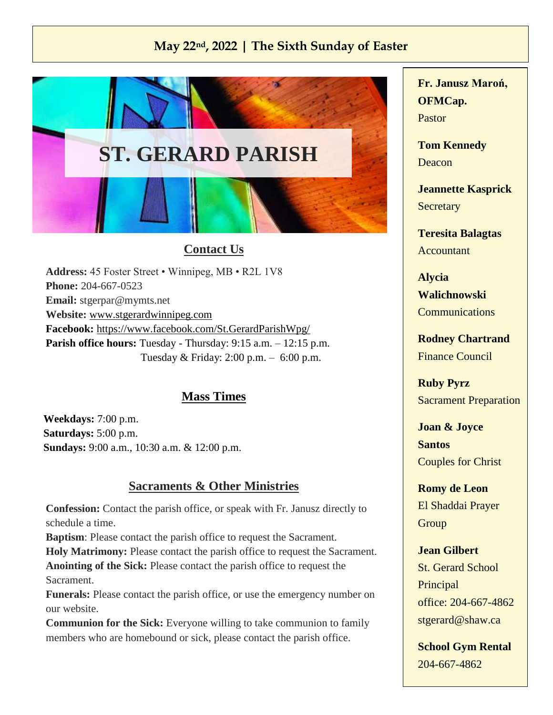## **May 22nd, 2022 | The Sixth Sunday of Easter**



## **Contact Us**

**Address:** 45 Foster Street • Winnipeg, MB • R2L 1V8 **Phone:** 204-667-0523 **Email:** [stgerpar@mymts.net](mailto:stjosephtheworkerparish.wpg@gmail.com) **Website:** [www.stgerardwinnipeg.com](http://www.stgerardwinnipeg.com/) **Facebook:** <https://www.facebook.com/St.GerardParishWpg/> Parish office hours: Tuesday - Thursday: 9:15 a.m. – 12:15 p.m. Tuesday & Friday: 2:00 p.m. – 6:00 p.m.

## **Mass Times**

**Weekdays:** 7:00 p.m. **Saturdays:** 5:00 p.m. **Sundays:** 9:00 a.m., 10:30 a.m. & 12:00 p.m.

## **Sacraments & Other Ministries**

**Confession:** Contact the parish office, or speak with Fr. Janusz directly to schedule a time.

**Baptism**: Please contact the parish office to request the Sacrament. **Holy Matrimony:** Please contact the parish office to request the Sacrament. **Anointing of the Sick:** Please contact the parish office to request the Sacrament.

**Funerals:** Please contact the parish office, or use the emergency number on our website.

**Communion for the Sick:** Everyone willing to take communion to family members who are homebound or sick, please contact the parish office.

**Fr. Janusz Maroń, OFMCap.** Pastor

**Tom Kennedy** Deacon

**Jeannette Kasprick Secretary** 

**Teresita Balagtas** Accountant

**Alycia Walichnowski Communications** 

**Rodney Chartrand** Finance Council

**Ruby Pyrz** Sacrament Preparation

**Joan & Joyce Santos** Couples for Christ

**Romy de Leon** El Shaddai Prayer **Group** 

**Jean Gilbert** St. Gerard School **Principal** office: 204-667-4862 [stgerard@shaw.ca](mailto:stgerard@shaw.ca)

**School Gym Rental** 204-667-4862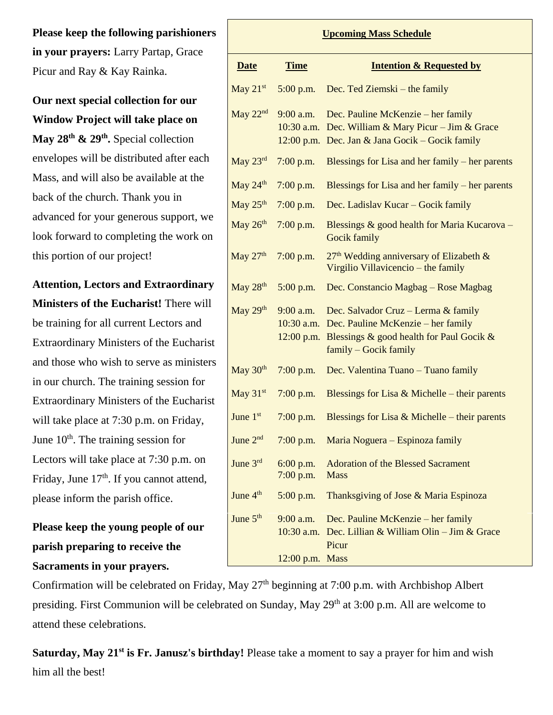**Please keep the following parishioners in your prayers:** Larry Partap, Grace Picur and Ray & Kay Rainka.

**Our next special collection for our Window Project will take place on** 

**May 28th & 29th .** Special collection envelopes will be distributed after each Mass, and will also be available at the back of the church. Thank you in advanced for your generous support, we look forward to completing the work on this portion of our project!

**Attention, Lectors and Extraordinary Ministers of the Eucharist!** There will be training for all current Lectors and Extraordinary Ministers of the Eucharist and those who wish to serve as ministers in our church. The training session for Extraordinary Ministers of the Eucharist will take place at 7:30 p.m. on Friday, June  $10<sup>th</sup>$ . The training session for Lectors will take place at 7:30 p.m. on Friday, June  $17<sup>th</sup>$ . If you cannot attend, please inform the parish office.

**Please keep the young people of our parish preparing to receive the Sacraments in your prayers.** 

**Upcoming Mass Schedule Date Time Intention & Requested by** May  $21<sup>st</sup>$  5:00 p.m. Dec. Ted Ziemski – the family May 22<sup>nd</sup> 9:00 a.m. 10:30 a.m. Dec. William & Mary Picur – Jim & Grace 12:00 p.m. Dec. Jan & Jana Gocik – Gocik family Dec. Pauline McKenzie – her family May 23rd 7:00 p.m. Blessings for Lisa and her family – her parents May  $24<sup>th</sup>$  7:00 p.m. Blessings for Lisa and her family – her parents May  $25<sup>th</sup>$  7:00 p.m. Dec. Ladislav Kucar – Gocik family May  $26<sup>th</sup>$  7:00 p.m. Blessings & good health for Maria Kucarova – Gocik family May  $27<sup>th</sup>$  7:00 p.m.  $27<sup>th</sup>$  Wedding anniversary of Elizabeth & Virgilio Villavicencio – the family May  $28<sup>th</sup>$  5:00 p.m. Dec. Constancio Magbag – Rose Magbag May  $29<sup>th</sup>$ 10:30 a.m. Dec. Pauline McKenzie – her family 12:00 p.m. Blessings & good health for Paul Gocik & 9:00 a.m. Dec. Salvador Cruz – Lerma & family family – Gocik family May  $30<sup>th</sup>$  7:00 p.m. Dec. Valentina Tuano – Tuano family May  $31^{st}$  7:00 p.m. Blessings for Lisa & Michelle – their parents June  $1<sup>st</sup>$  7:00 p.m. Blessings for Lisa & Michelle – their parents June  $2<sup>nd</sup>$  7:00 p.m. Maria Noguera – Espinoza family June  $3<sup>rd</sup>$  6:00 p.m. 7:00 p.m. Adoration of the Blessed Sacrament Mass June  $4<sup>th</sup>$  5:00 p.m. Thanksgiving of Jose & Maria Espinoza June  $5<sup>th</sup>$  9:00 a.m. 10:30 a.m. Dec. Lillian & William Olin – Jim & Grace 12:00 p.m. MassDec. Pauline McKenzie – her family Picur

Confirmation will be celebrated on Friday, May 27<sup>th</sup> beginning at 7:00 p.m. with Archbishop Albert presiding. First Communion will be celebrated on Sunday, May 29<sup>th</sup> at 3:00 p.m. All are welcome to attend these celebrations.

**Saturday, May 21st is Fr. Janusz's birthday!** Please take a moment to say a prayer for him and wish him all the best!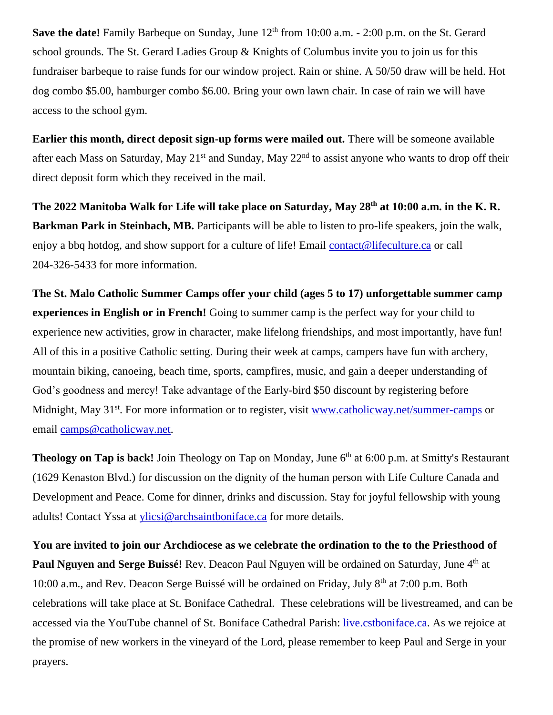**Save the date!** Family Barbeque on Sunday, June 12<sup>th</sup> from 10:00 a.m. - 2:00 p.m. on the St. Gerard school grounds. The St. Gerard Ladies Group & Knights of Columbus invite you to join us for this fundraiser barbeque to raise funds for our window project. Rain or shine. A 50/50 draw will be held. Hot dog combo \$5.00, hamburger combo \$6.00. Bring your own lawn chair. In case of rain we will have access to the school gym.

**Earlier this month, direct deposit sign-up forms were mailed out.** There will be someone available after each Mass on Saturday, May 21<sup>st</sup> and Sunday, May 22<sup>nd</sup> to assist anyone who wants to drop off their direct deposit form which they received in the mail.

**The 2022 Manitoba Walk for Life will take place on Saturday, May 28th at 10:00 a.m. in the K. R. Barkman Park in Steinbach, MB.** Participants will be able to listen to pro-life speakers, join the walk, enjoy a bbq hotdog, and show support for a culture of life! Email [contact@lifeculture.ca](mailto:contact@lifeculture.ca) or call 204-326-5433 for more information.

**The St. Malo Catholic Summer Camps offer your child (ages 5 to 17) unforgettable summer camp experiences in English or in French!** Going to summer camp is the perfect way for your child to experience new activities, grow in character, make lifelong friendships, and most importantly, have fun! All of this in a positive Catholic setting. During their week at camps, campers have fun with archery, mountain biking, canoeing, beach time, sports, campfires, music, and gain a deeper understanding of God's goodness and mercy! Take advantage of the Early-bird \$50 discount by registering before Midnight, May 31<sup>st</sup>. For more information or to register, visit<www.catholicway.net/summer-camps> or email [camps@catholicway.net.](mailto:camps@catholicway.net)

**Theology on Tap is back!** Join Theology on Tap on Monday, June 6<sup>th</sup> at 6:00 p.m. at Smitty's Restaurant (1629 Kenaston Blvd.) for discussion on the dignity of the human person with Life Culture Canada and Development and Peace. Come for dinner, drinks and discussion. Stay for joyful fellowship with young adults! Contact Yssa at [ylicsi@archsaintboniface.ca](mailto:ylicsi@archsaintboniface.ca) for more details.

**You are invited to join our Archdiocese as we celebrate the ordination to the to the Priesthood of Paul Nguyen and Serge Buissé!** Rev. Deacon Paul Nguyen will be ordained on Saturday, June 4<sup>th</sup> at 10:00 a.m., and Rev. Deacon Serge Buissé will be ordained on Friday, July 8<sup>th</sup> at 7:00 p.m. Both celebrations will take place at St. Boniface Cathedral. These celebrations will be livestreamed, and can be accessed via the YouTube channel of St. Boniface Cathedral Parish: [live.cstboniface.ca.](live.cstboniface.ca) As we rejoice at the promise of new workers in the vineyard of the Lord, please remember to keep Paul and Serge in your prayers.